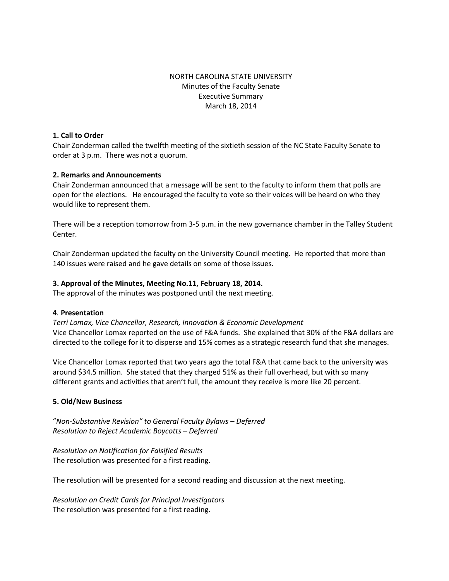# NORTH CAROLINA STATE UNIVERSITY Minutes of the Faculty Senate Executive Summary March 18, 2014

#### **1. Call to Order**

Chair Zonderman called the twelfth meeting of the sixtieth session of the NC State Faculty Senate to order at 3 p.m. There was not a quorum.

## **2. Remarks and Announcements**

Chair Zonderman announced that a message will be sent to the faculty to inform them that polls are open for the elections. He encouraged the faculty to vote so their voices will be heard on who they would like to represent them.

There will be a reception tomorrow from 3-5 p.m. in the new governance chamber in the Talley Student Center.

Chair Zonderman updated the faculty on the University Council meeting. He reported that more than 140 issues were raised and he gave details on some of those issues.

## **3. Approval of the Minutes, Meeting No.11, February 18, 2014.**

The approval of the minutes was postponed until the next meeting.

## **4***.* **Presentation**

*Terri Lomax, Vice Chancellor, Research, Innovation & Economic Development* Vice Chancellor Lomax reported on the use of F&A funds. She explained that 30% of the F&A dollars are directed to the college for it to disperse and 15% comes as a strategic research fund that she manages.

Vice Chancellor Lomax reported that two years ago the total F&A that came back to the university was around \$34.5 million. She stated that they charged 51% as their full overhead, but with so many different grants and activities that aren't full, the amount they receive is more like 20 percent.

## **5. Old/New Business**

"*Non-Substantive Revision" to General Faculty Bylaws – Deferred Resolution to Reject Academic Boycotts – Deferred* 

*Resolution on Notification for Falsified Results*  The resolution was presented for a first reading.

The resolution will be presented for a second reading and discussion at the next meeting.

*Resolution on Credit Cards for Principal Investigators* The resolution was presented for a first reading.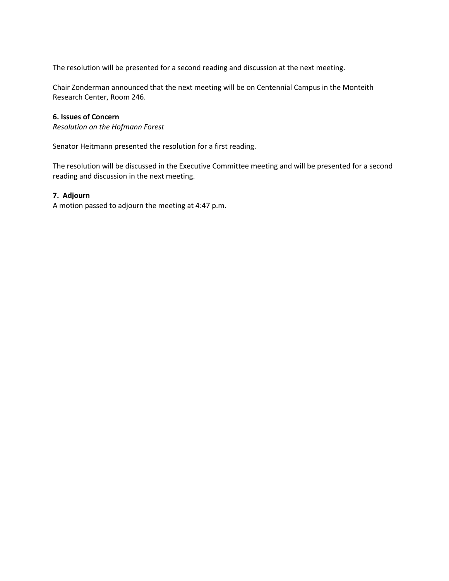The resolution will be presented for a second reading and discussion at the next meeting.

Chair Zonderman announced that the next meeting will be on Centennial Campus in the Monteith Research Center, Room 246.

#### **6. Issues of Concern**

*Resolution on the Hofmann Forest*

Senator Heitmann presented the resolution for a first reading.

The resolution will be discussed in the Executive Committee meeting and will be presented for a second reading and discussion in the next meeting.

#### **7. Adjourn**

A motion passed to adjourn the meeting at 4:47 p.m.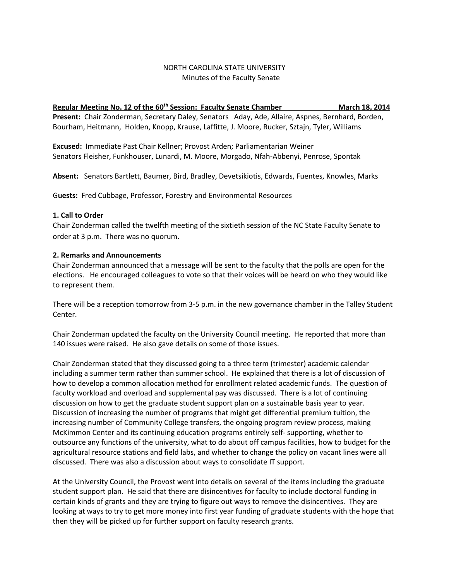# NORTH CAROLINA STATE UNIVERSITY Minutes of the Faculty Senate

# **Regular Meeting No. 12 of the 60<sup>th</sup> Session: Faculty Senate Chamber March 18, 2014 March 18, 2014 Present:** Chair Zonderman, Secretary Daley, Senators Aday, Ade, Allaire, Aspnes, Bernhard, Borden, Bourham, Heitmann, Holden, Knopp, Krause, Laffitte, J. Moore, Rucker, Sztajn, Tyler, Williams

**Excused:** Immediate Past Chair Kellner; Provost Arden; Parliamentarian Weiner Senators Fleisher, Funkhouser, Lunardi, M. Moore, Morgado, Nfah-Abbenyi, Penrose, Spontak

**Absent:** Senators Bartlett, Baumer, Bird, Bradley, Devetsikiotis, Edwards, Fuentes, Knowles, Marks

G**uests:** Fred Cubbage, Professor, Forestry and Environmental Resources

#### **1. Call to Order**

Chair Zonderman called the twelfth meeting of the sixtieth session of the NC State Faculty Senate to order at 3 p.m. There was no quorum.

#### **2. Remarks and Announcements**

Chair Zonderman announced that a message will be sent to the faculty that the polls are open for the elections. He encouraged colleagues to vote so that their voices will be heard on who they would like to represent them.

There will be a reception tomorrow from 3-5 p.m. in the new governance chamber in the Talley Student Center.

Chair Zonderman updated the faculty on the University Council meeting. He reported that more than 140 issues were raised. He also gave details on some of those issues.

Chair Zonderman stated that they discussed going to a three term (trimester) academic calendar including a summer term rather than summer school. He explained that there is a lot of discussion of how to develop a common allocation method for enrollment related academic funds. The question of faculty workload and overload and supplemental pay was discussed. There is a lot of continuing discussion on how to get the graduate student support plan on a sustainable basis year to year. Discussion of increasing the number of programs that might get differential premium tuition, the increasing number of Community College transfers, the ongoing program review process, making McKimmon Center and its continuing education programs entirely self- supporting, whether to outsource any functions of the university, what to do about off campus facilities, how to budget for the agricultural resource stations and field labs, and whether to change the policy on vacant lines were all discussed. There was also a discussion about ways to consolidate IT support.

At the University Council, the Provost went into details on several of the items including the graduate student support plan. He said that there are disincentives for faculty to include doctoral funding in certain kinds of grants and they are trying to figure out ways to remove the disincentives. They are looking at ways to try to get more money into first year funding of graduate students with the hope that then they will be picked up for further support on faculty research grants.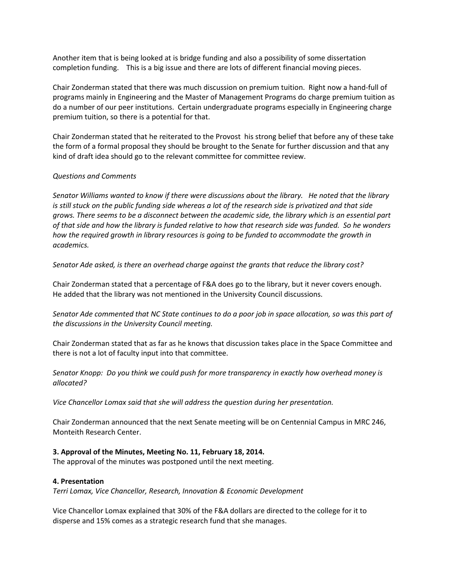Another item that is being looked at is bridge funding and also a possibility of some dissertation completion funding. This is a big issue and there are lots of different financial moving pieces.

Chair Zonderman stated that there was much discussion on premium tuition. Right now a hand-full of programs mainly in Engineering and the Master of Management Programs do charge premium tuition as do a number of our peer institutions. Certain undergraduate programs especially in Engineering charge premium tuition, so there is a potential for that.

Chair Zonderman stated that he reiterated to the Provost his strong belief that before any of these take the form of a formal proposal they should be brought to the Senate for further discussion and that any kind of draft idea should go to the relevant committee for committee review.

## *Questions and Comments*

*Senator Williams wanted to know if there were discussions about the library. He noted that the library is still stuck on the public funding side whereas a lot of the research side is privatized and that side grows. There seems to be a disconnect between the academic side, the library which is an essential part of that side and how the library is funded relative to how that research side was funded. So he wonders how the required growth in library resources is going to be funded to accommodate the growth in academics.* 

*Senator Ade asked, is there an overhead charge against the grants that reduce the library cost?*

Chair Zonderman stated that a percentage of F&A does go to the library, but it never covers enough. He added that the library was not mentioned in the University Council discussions.

*Senator Ade commented that NC State continues to do a poor job in space allocation, so was this part of the discussions in the University Council meeting.* 

Chair Zonderman stated that as far as he knows that discussion takes place in the Space Committee and there is not a lot of faculty input into that committee.

*Senator Knopp: Do you think we could push for more transparency in exactly how overhead money is allocated?*

*Vice Chancellor Lomax said that she will address the question during her presentation.* 

Chair Zonderman announced that the next Senate meeting will be on Centennial Campus in MRC 246, Monteith Research Center.

#### **3. Approval of the Minutes, Meeting No. 11, February 18, 2014.**

The approval of the minutes was postponed until the next meeting.

#### **4. Presentation**

*Terri Lomax, Vice Chancellor, Research, Innovation & Economic Development*

Vice Chancellor Lomax explained that 30% of the F&A dollars are directed to the college for it to disperse and 15% comes as a strategic research fund that she manages.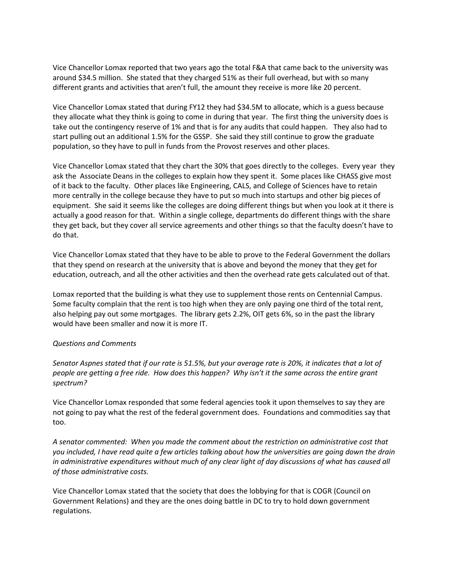Vice Chancellor Lomax reported that two years ago the total F&A that came back to the university was around \$34.5 million. She stated that they charged 51% as their full overhead, but with so many different grants and activities that aren't full, the amount they receive is more like 20 percent.

Vice Chancellor Lomax stated that during FY12 they had \$34.5M to allocate, which is a guess because they allocate what they think is going to come in during that year. The first thing the university does is take out the contingency reserve of 1% and that is for any audits that could happen. They also had to start pulling out an additional 1.5% for the GSSP. She said they still continue to grow the graduate population, so they have to pull in funds from the Provost reserves and other places.

Vice Chancellor Lomax stated that they chart the 30% that goes directly to the colleges. Every year they ask the Associate Deans in the colleges to explain how they spent it. Some places like CHASS give most of it back to the faculty. Other places like Engineering, CALS, and College of Sciences have to retain more centrally in the college because they have to put so much into startups and other big pieces of equipment. She said it seems like the colleges are doing different things but when you look at it there is actually a good reason for that. Within a single college, departments do different things with the share they get back, but they cover all service agreements and other things so that the faculty doesn't have to do that.

Vice Chancellor Lomax stated that they have to be able to prove to the Federal Government the dollars that they spend on research at the university that is above and beyond the money that they get for education, outreach, and all the other activities and then the overhead rate gets calculated out of that.

Lomax reported that the building is what they use to supplement those rents on Centennial Campus. Some faculty complain that the rent is too high when they are only paying one third of the total rent, also helping pay out some mortgages. The library gets 2.2%, OIT gets 6%, so in the past the library would have been smaller and now it is more IT.

## *Questions and Comments*

*Senator Aspnes stated that if our rate is 51.5%, but your average rate is 20%, it indicates that a lot of people are getting a free ride. How does this happen? Why isn't it the same across the entire grant spectrum?*

Vice Chancellor Lomax responded that some federal agencies took it upon themselves to say they are not going to pay what the rest of the federal government does. Foundations and commodities say that too.

*A senator commented: When you made the comment about the restriction on administrative cost that you included, I have read quite a few articles talking about how the universities are going down the drain in administrative expenditures without much of any clear light of day discussions of what has caused all of those administrative costs.*

Vice Chancellor Lomax stated that the society that does the lobbying for that is COGR (Council on Government Relations) and they are the ones doing battle in DC to try to hold down government regulations.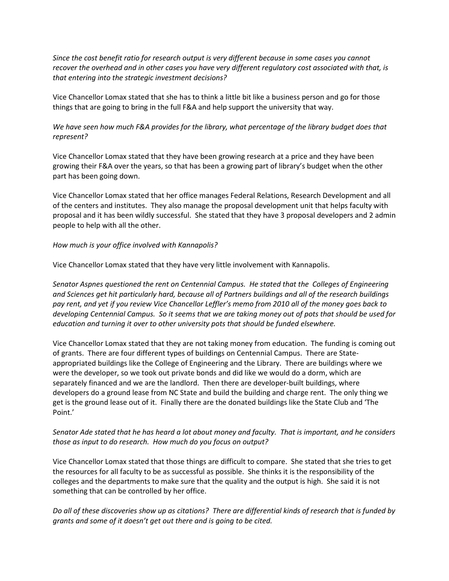*Since the cost benefit ratio for research output is very different because in some cases you cannot recover the overhead and in other cases you have very different regulatory cost associated with that, is that entering into the strategic investment decisions?*

Vice Chancellor Lomax stated that she has to think a little bit like a business person and go for those things that are going to bring in the full F&A and help support the university that way.

# *We have seen how much F&A provides for the library, what percentage of the library budget does that represent?*

Vice Chancellor Lomax stated that they have been growing research at a price and they have been growing their F&A over the years, so that has been a growing part of library's budget when the other part has been going down.

Vice Chancellor Lomax stated that her office manages Federal Relations, Research Development and all of the centers and institutes. They also manage the proposal development unit that helps faculty with proposal and it has been wildly successful. She stated that they have 3 proposal developers and 2 admin people to help with all the other.

#### *How much is your office involved with Kannapolis?*

Vice Chancellor Lomax stated that they have very little involvement with Kannapolis.

*Senator Aspnes questioned the rent on Centennial Campus. He stated that the Colleges of Engineering and Sciences get hit particularly hard, because all of Partners buildings and all of the research buildings pay rent, and yet if you review Vice Chancellor Leffler's memo from 2010 all of the money goes back to developing Centennial Campus. So it seems that we are taking money out of pots that should be used for education and turning it over to other university pots that should be funded elsewhere.* 

Vice Chancellor Lomax stated that they are not taking money from education. The funding is coming out of grants. There are four different types of buildings on Centennial Campus. There are Stateappropriated buildings like the College of Engineering and the Library. There are buildings where we were the developer, so we took out private bonds and did like we would do a dorm, which are separately financed and we are the landlord. Then there are developer-built buildings, where developers do a ground lease from NC State and build the building and charge rent. The only thing we get is the ground lease out of it. Finally there are the donated buildings like the State Club and 'The Point.'

# *Senator Ade stated that he has heard a lot about money and faculty. That is important, and he considers those as input to do research. How much do you focus on output?*

Vice Chancellor Lomax stated that those things are difficult to compare. She stated that she tries to get the resources for all faculty to be as successful as possible. She thinks it is the responsibility of the colleges and the departments to make sure that the quality and the output is high. She said it is not something that can be controlled by her office.

*Do all of these discoveries show up as citations? There are differential kinds of research that is funded by grants and some of it doesn't get out there and is going to be cited.*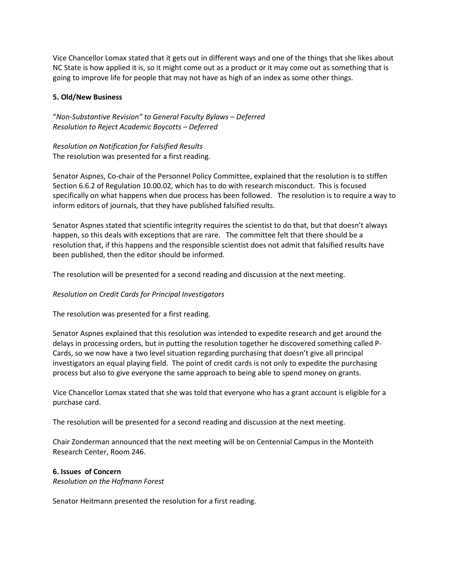Vice Chancellor Lomax stated that it gets out in different ways and one of the things that she likes about NC State is how applied it is, so it might come out as a product or it may come out as something that is going to improve life for people that may not have as high of an index as some other things.

## **5. Old/New Business**

"*Non-Substantive Revision" to General Faculty Bylaws – Deferred Resolution to Reject Academic Boycotts – Deferred* 

*Resolution on Notification for Falsified Results*  The resolution was presented for a first reading.

Senator Aspnes, Co-chair of the Personnel Policy Committee, explained that the resolution is to stiffen Section 6.6.2 of Regulation 10.00.02, which has to do with research misconduct. This is focused specifically on what happens when due process has been followed. The resolution is to require a way to inform editors of journals, that they have published falsified results.

Senator Aspnes stated that scientific integrity requires the scientist to do that, but that doesn't always happen, so this deals with exceptions that are rare. The committee felt that there should be a resolution that, if this happens and the responsible scientist does not admit that falsified results have been published, then the editor should be informed.

The resolution will be presented for a second reading and discussion at the next meeting.

## *Resolution on Credit Cards for Principal Investigators*

The resolution was presented for a first reading.

Senator Aspnes explained that this resolution was intended to expedite research and get around the delays in processing orders, but in putting the resolution together he discovered something called P-Cards, so we now have a two level situation regarding purchasing that doesn't give all principal investigators an equal playing field. The point of credit cards is not only to expedite the purchasing process but also to give everyone the same approach to being able to spend money on grants.

Vice Chancellor Lomax stated that she was told that everyone who has a grant account is eligible for a purchase card.

The resolution will be presented for a second reading and discussion at the next meeting.

Chair Zonderman announced that the next meeting will be on Centennial Campus in the Monteith Research Center, Room 246.

# **6. Issues of Concern**

*Resolution on the Hofmann Forest*

Senator Heitmann presented the resolution for a first reading.